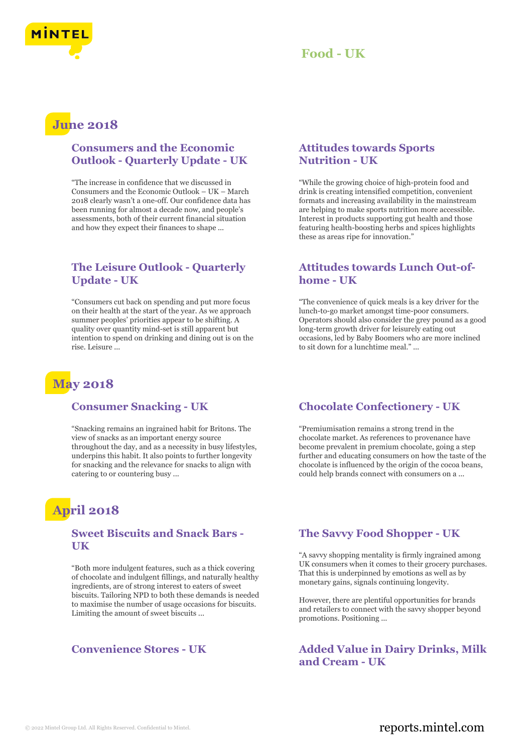



## **June 2018**

### **Consumers and the Economic Outlook - Quarterly Update - UK**

"The increase in confidence that we discussed in Consumers and the Economic Outlook – UK – March 2018 clearly wasn't a one-off. Our confidence data has been running for almost a decade now, and people's assessments, both of their current financial situation and how they expect their finances to shape ...

### **The Leisure Outlook - Quarterly Update - UK**

"Consumers cut back on spending and put more focus on their health at the start of the year. As we approach summer peoples' priorities appear to be shifting. A quality over quantity mind-set is still apparent but intention to spend on drinking and dining out is on the rise. Leisure ...

## **May 2018**

### **Consumer Snacking - UK**

"Snacking remains an ingrained habit for Britons. The view of snacks as an important energy source throughout the day, and as a necessity in busy lifestyles, underpins this habit. It also points to further longevity for snacking and the relevance for snacks to align with catering to or countering busy ...

# **April 2018**

### **Sweet Biscuits and Snack Bars - UK**

"Both more indulgent features, such as a thick covering of chocolate and indulgent fillings, and naturally healthy ingredients, are of strong interest to eaters of sweet biscuits. Tailoring NPD to both these demands is needed to maximise the number of usage occasions for biscuits. Limiting the amount of sweet biscuits ...

### **Attitudes towards Sports Nutrition - UK**

"While the growing choice of high-protein food and drink is creating intensified competition, convenient formats and increasing availability in the mainstream are helping to make sports nutrition more accessible. Interest in products supporting gut health and those featuring health-boosting herbs and spices highlights these as areas ripe for innovation."

### **Attitudes towards Lunch Out-ofhome - UK**

"The convenience of quick meals is a key driver for the lunch-to-go market amongst time-poor consumers. Operators should also consider the grey pound as a good long-term growth driver for leisurely eating out occasions, led by Baby Boomers who are more inclined to sit down for a lunchtime meal." ...

### **Chocolate Confectionery - UK**

"Premiumisation remains a strong trend in the chocolate market. As references to provenance have become prevalent in premium chocolate, going a step further and educating consumers on how the taste of the chocolate is influenced by the origin of the cocoa beans, could help brands connect with consumers on a ...

### **The Savvy Food Shopper - UK**

"A savvy shopping mentality is firmly ingrained among UK consumers when it comes to their grocery purchases. That this is underpinned by emotions as well as by monetary gains, signals continuing longevity.

However, there are plentiful opportunities for brands and retailers to connect with the savvy shopper beyond promotions. Positioning ...

**Convenience Stores - UK Added Value in Dairy Drinks, Milk and Cream - UK**